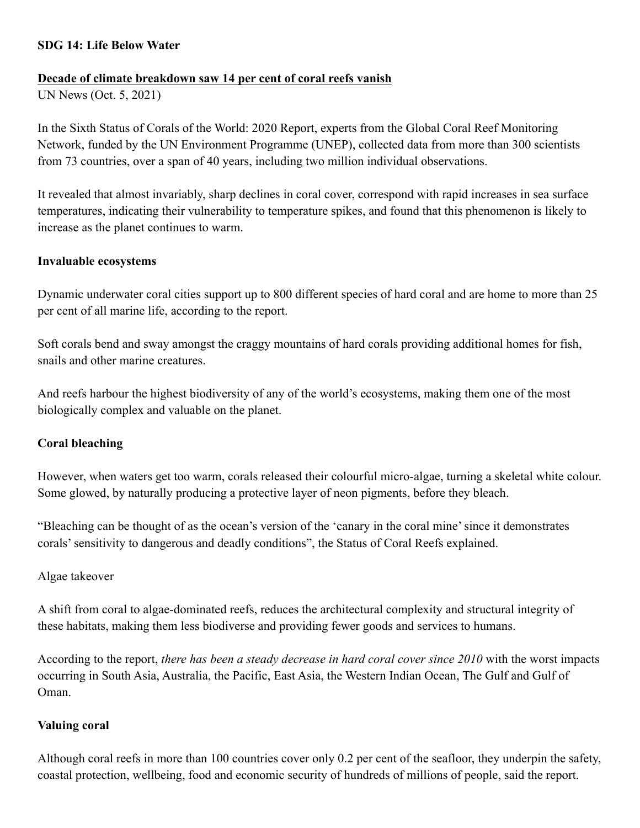### **SDG 14: Life Below Water**

## **Decade of climate breakdown saw 14 per cent of coral reefs vanish**

UN News (Oct. 5, 2021)

In the Sixth Status of Corals of the World: 2020 Report, experts from the Global Coral Reef Monitoring Network, funded by the UN Environment Programme (UNEP), collected data from more than 300 scientists from 73 countries, over a span of 40 years, including two million individual observations.

It revealed that almost invariably, sharp declines in coral cover, correspond with rapid increases in sea surface temperatures, indicating their vulnerability to temperature spikes, and found that this phenomenon is likely to increase as the planet continues to warm.

### **Invaluable ecosystems**

Dynamic underwater coral cities support up to 800 different species of hard coral and are home to more than 25 per cent of all marine life, according to the report.

Soft corals bend and sway amongst the craggy mountains of hard corals providing additional homes for fish, snails and other marine creatures.

And reefs harbour the highest biodiversity of any of the world's ecosystems, making them one of the most biologically complex and valuable on the planet.

# **Coral bleaching**

However, when waters get too warm, corals released their colourful micro-algae, turning a skeletal white colour. Some glowed, by naturally producing a protective layer of neon pigments, before they bleach.

"Bleaching can be thought of as the ocean's version of the 'canary in the coral mine' since it demonstrates corals' sensitivity to dangerous and deadly conditions", the Status of Coral Reefs explained.

### Algae takeover

A shift from coral to algae-dominated reefs, reduces the architectural complexity and structural integrity of these habitats, making them less biodiverse and providing fewer goods and services to humans.

According to the report, *there has been a steady decrease in hard coral cover since 2010* with the worst impacts occurring in South Asia, Australia, the Pacific, East Asia, the Western Indian Ocean, The Gulf and Gulf of Oman.

### **Valuing coral**

Although coral reefs in more than 100 countries cover only 0.2 per cent of the seafloor, they underpin the safety, coastal protection, wellbeing, food and economic security of hundreds of millions of people, said the report.